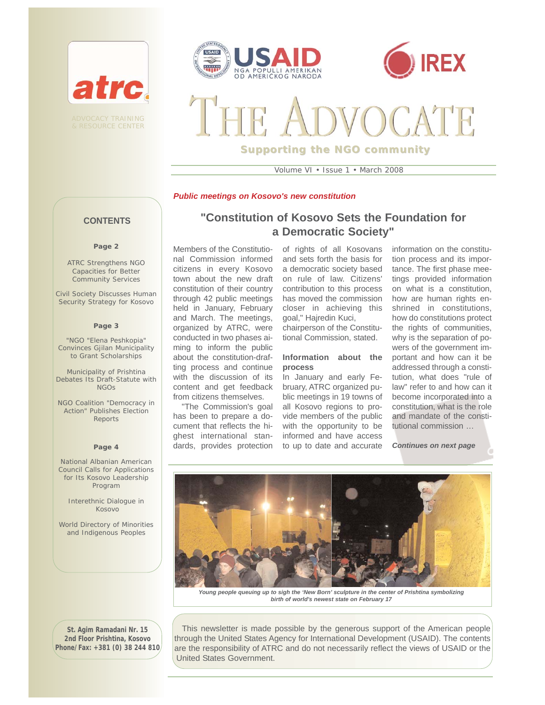

**& RESOURCE CENTER** 





**Supporting the NGO community**

Volume VI • Issue 1 • March 2008

## *Public meetings on Kosovo's new constitution*

# **CONTENTS**

### **Page 2**

ATRC Strengthens NGO Capacities for Better Community Services

Civil Society Discusses Human Security Strategy for Kosovo

#### **Page 3**

"NGO "Elena Peshkopia" Convinces Gjilan Municipality to Grant Scholarships

Municipality of Prishtina Debates Its Draft-Statute with NGOs

NGO Coalition "Democracy in Action" Publishes Election Reports

#### **Page 4**

National Albanian American Council Calls for Applications for Its Kosovo Leadership Program

Interethnic Dialogue in Kosovo

World Directory of Minorities and Indigenous Peoples

**"Constitution of Kosovo Sets the Foundation for a Democratic Society"**

Members of the Constitutional Commission informed citizens in every Kosovo town about the new draft constitution of their country through 42 public meetings held in January, February and March. The meetings, organized by ATRC, were conducted in two phases aiming to inform the public about the constitution-drafting process and continue with the discussion of its content and get feedback from citizens themselves.

"The Commission's goal has been to prepare a document that reflects the highest international standards, provides protection

of rights of all Kosovans and sets forth the basis for a democratic society based on rule of law. Citizens' contribution to this process has moved the commission closer in achieving this goal," Hajredin Kuci,

chairperson of the Constitutional Commission, stated.

## **Information about the process**

In January and early February, ATRC organized public meetings in 19 towns of all Kosovo regions to provide members of the public with the opportunity to be informed and have access to up to date and accurate information on the constitution process and its importance. The first phase meetings provided information on what is a constitution, how are human rights enshrined in constitutions, how do constitutions protect the rights of communities, why is the separation of powers of the government important and how can it be addressed through a constitution, what does "rule of law" refer to and how can it become incorporated into a constitution, what is the role and mandate of the constitutional commission …

*Continues on next page*



*birth of world's newest state on February 17* 

**St. Agim Ramadani Nr. 15 2nd Floor Prishtina, Kosovo Phone/Fax: +381 (0) 38 244 810**

This newsletter is made possible by the generous support of the American people through the United States Agency for International Development (USAID). The contents are the responsibility of ATRC and do not necessarily reflect the views of USAID or the United States Government.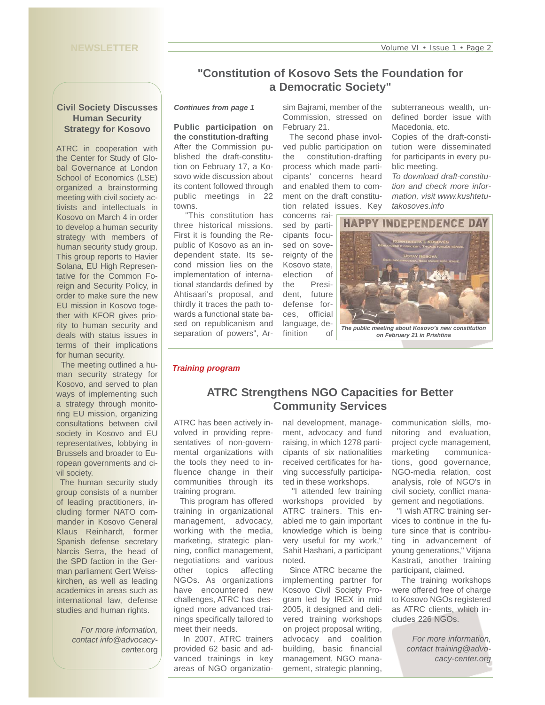# **Civil Society Discusses Human Security Strategy for Kosovo**

ATRC in cooperation with the Center for Study of Global Governance at London School of Economics (LSE) organized a brainstorming meeting with civil society activists and intellectuals in Kosovo on March 4 in order to develop a human security strategy with members of human security study group. This group reports to Havier Solana, EU High Representative for the Common Foreign and Security Policy, in order to make sure the new EU mission in Kosovo together with KFOR gives priority to human security and deals with status issues in terms of their implications for human security.

The meeting outlined a human security strategy for Kosovo, and served to plan ways of implementing such a strategy through monitoring EU mission, organizing consultations between civil society in Kosovo and EU representatives, lobbying in Brussels and broader to European governments and civil society.

The human security study group consists of a number of leading practitioners, including former NATO commander in Kosovo General Klaus Reinhardt, former Spanish defense secretary Narcis Serra, the head of the SPD faction in the German parliament Gert Weisskirchen, as well as leading academics in areas such as international law, defense studies and human rights.

> *For more information, contact info@advocacycen*ter.org

# **"Constitution of Kosovo Sets the Foundation for a Democratic Society"**

## *Continues from page 1*

**Public participation on the constitution-drafting**  After the Commission published the draft-constitution on February 17, a Kosovo wide discussion about its content followed through public meetings in 22 towns.

"This constitution has three historical missions. First it is founding the Republic of Kosovo as an independent state. Its second mission lies on the implementation of international standards defined by Ahtisaari's proposal, and thirdly it traces the path towards a functional state based on republicanism and separation of powers", Ar-

sim Bajrami, member of the Commission, stressed on February 21.

The second phase involved public participation on the constitution-drafting process which made participants' concerns heard and enabled them to comment on the draft constitution related issues. Key concerns raisubterraneous wealth, undefined border issue with Macedonia, etc.

Copies of the draft-constitution were disseminated for participants in every public meeting.

*To download draft-constitution and check more information, visit www.kushtetutakosoves.info*



*on February 21 in Prishtina* 

## *Training program*

# **ATRC Strengthens NGO Capacities for Better Community Services**

ATRC has been actively involved in providing representatives of non-governmental organizations with the tools they need to influence change in their communities through its training program.

This program has offered training in organizational management, advocacy, working with the media, marketing, strategic planning, conflict management, negotiations and various other topics affecting NGOs. As organizations have encountered new challenges, ATRC has designed more advanced trainings specifically tailored to meet their needs.

In 2007, ATRC trainers provided 62 basic and advanced trainings in key areas of NGO organizatio-

nal development, management, advocacy and fund raising, in which 1278 participants of six nationalities received certificates for having successfully participated in these workshops.

"I attended few training workshops provided by ATRC trainers. This enabled me to gain important knowledge which is being very useful for my work," Sahit Hashani, a participant noted.

Since ATRC became the implementing partner for Kosovo Civil Society Program led by IREX in mid 2005, it designed and delivered training workshops on project proposal writing, advocacy and coalition building, basic financial management, NGO management, strategic planning,

communication skills, monitoring and evaluation, project cycle management, marketing communications, good governance, NGO-media relation, cost analysis, role of NGO's in civil society, conflict management and negotiations.

"I wish ATRC training services to continue in the future since that is contributing in advancement of young generations," Vitjana Kastrati, another training participant, claimed.

The training workshops were offered free of charge to Kosovo NGOs registered as ATRC clients, which includes 226 NGOs.

> *For more information, contact training@advocacy-center.org*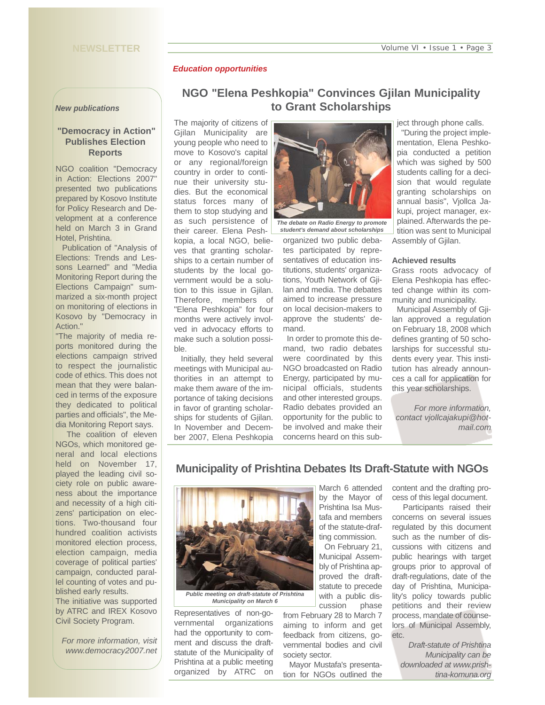# **NEWSLETTER**

## *Education opportunities*

### *New publications*

# **"Democracy in Action" Publishes Election Reports**

NGO coalition "Democracy in Action: Elections 2007" presented two publications prepared by Kosovo Institute for Policy Research and Development at a conference held on March 3 in Grand Hotel, Prishtina.

Publication of "Analysis of Elections: Trends and Lessons Learned" and "Media Monitoring Report during the Elections Campaign" summarized a six-month project on monitoring of elections in Kosovo by "Democracy in Action."

"The majority of media reports monitored during the elections campaign strived to respect the journalistic code of ethics. This does not mean that they were balanced in terms of the exposure they dedicated to political parties and officials", the Media Monitoring Report says.

The coalition of eleven NGOs, which monitored general and local elections held on November 17, played the leading civil society role on public awareness about the importance and necessity of a high citizens' participation on elections. Two-thousand four hundred coalition activists monitored election process, election campaign, media coverage of political parties' campaign, conducted parallel counting of votes and published early results.

The initiative was supported by ATRC and IREX Kosovo Civil Society Program.

*For more information, visit www.democracy2007.net*

# **NGO "Elena Peshkopia" Convinces Gjilan Municipality to Grant Scholarships**

The majority of citizens of Gjilan Municipality are young people who need to move to Kosovo's capital or any regional/foreign country in order to continue their university studies. But the economical status forces many of them to stop studying and as such persistence of their career. Elena Peshkopia, a local NGO, believes that granting scholarships to a certain number of students by the local government would be a solution to this issue in Gjilan. Therefore, members of "Elena Peshkopia" for four months were actively involved in advocacy efforts to make such a solution possible.

Initially, they held several meetings with Municipal authorities in an attempt to make them aware of the importance of taking decisions in favor of granting scholarships for students of Gjilan. In November and December 2007, Elena Peshkopia



*The debate on Radio Energy to promote student's demand about scholarships* 

organized two public debates participated by representatives of education institutions, students' organizations, Youth Network of Gjilan and media. The debates aimed to increase pressure on local decision-makers to approve the students' demand.

In order to promote this demand, two radio debates were coordinated by this NGO broadcasted on Radio Energy, participated by municipal officials, students and other interested groups. Radio debates provided an opportunity for the public to be involved and make their concerns heard on this subject through phone calls.

"During the project implementation, Elena Peshkopia conducted a petition which was sighed by 500 students calling for a decision that would regulate granting scholarships on annual basis", Vjollca Jakupi, project manager, explained. Afterwards the petition was sent to Municipal Assembly of Gjilan.

### **Achieved results**

Grass roots advocacy of Elena Peshkopia has effected change within its community and municipality.

Municipal Assembly of Gjilan approved a regulation on February 18, 2008 which defines granting of 50 scholarships for successful students every year. This institution has already announces a call for application for this year scholarships.

*For more information, contact vjollcajakupi@hotmail.com*

# **Municipality of Prishtina Debates Its Draft-Statute with NGOs**



*Public meeting on draft-statute of Prishtina Municipality on March 6* 

Representatives of non-governmental organizations had the opportunity to comment and discuss the draftstatute of the Municipality of Prishtina at a public meeting organized by ATRC on

March 6 attended by the Mayor of Prishtina Isa Mustafa and members of the statute-drafting commission.

On February 21, Municipal Assembly of Prishtina approved the draftstatute to precede with a public discussion phase

from February 28 to March 7 aiming to inform and get feedback from citizens, governmental bodies and civil society sector.

Mayor Mustafa's presentation for NGOs outlined the

content and the drafting process of this legal document.

Participants raised their concerns on several issues regulated by this document such as the number of discussions with citizens and public hearings with target groups prior to approval of draft-regulations, date of the day of Prishtina, Municipality's policy towards public petitions and their review process, mandate of counselors of Municipal Assembly, etc.

*Draft-statute of Prishtina Municipality can be downloaded at www.prishtina-komuna.org*